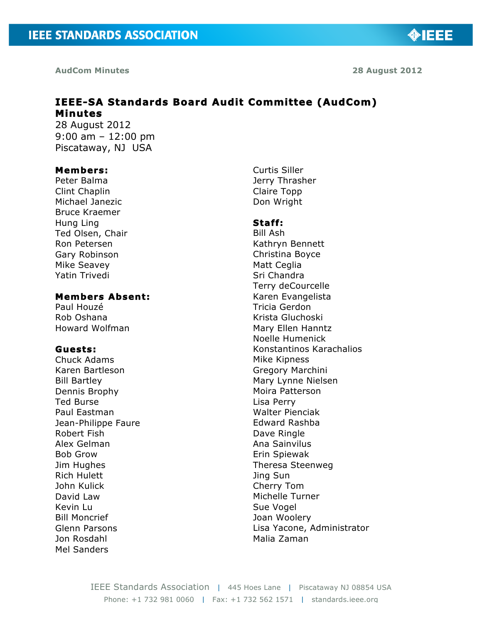**OBJEE** 

# **IEEE-SA Standards Board Audit Committee (AudCom) Minutes**

28 August 2012 9:00 am – 12:00 pm Piscataway, NJ USA

#### **Members:**

Peter Balma Clint Chaplin Michael Janezic Bruce Kraemer Hung Ling Ted Olsen, Chair Ron Petersen Gary Robinson Mike Seavey Yatin Trivedi

# **Members Absent:**

Paul Houzé Rob Oshana Howard Wolfman

#### **Guests:**

Chuck Adams Karen Bartleson Bill Bartley Dennis Brophy Ted Burse Paul Eastman Jean-Philippe Faure Robert Fish Alex Gelman Bob Grow Jim Hughes Rich Hulett John Kulick David Law Kevin Lu Bill Moncrief Glenn Parsons Jon Rosdahl Mel Sanders

Curtis Siller Jerry Thrasher Claire Topp Don Wright

#### **Staff:**

Bill Ash Kathryn Bennett Christina Boyce Matt Ceglia Sri Chandra Terry deCourcelle Karen Evangelista Tricia Gerdon Krista Gluchoski Mary Ellen Hanntz Noelle Humenick Konstantinos Karachalios Mike Kipness Gregory Marchini Mary Lynne Nielsen Moira Patterson Lisa Perry Walter Pienciak Edward Rashba Dave Ringle Ana Sainvilus Erin Spiewak Theresa Steenweg Jing Sun Cherry Tom Michelle Turner Sue Vogel Joan Woolery Lisa Yacone, Administrator Malia Zaman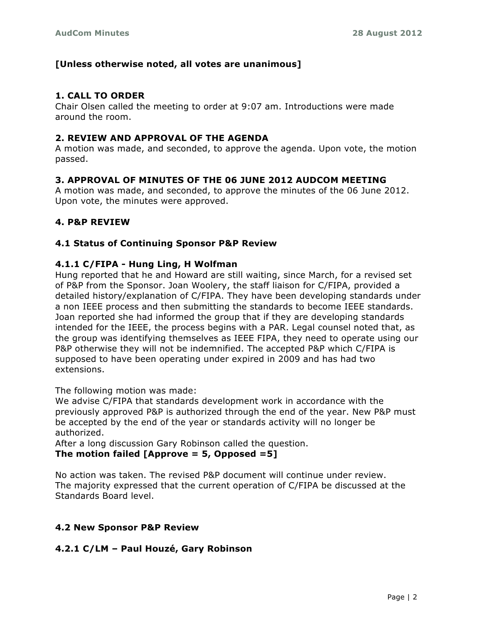# **[Unless otherwise noted, all votes are unanimous]**

# **1. CALL TO ORDER**

Chair Olsen called the meeting to order at 9:07 am. Introductions were made around the room.

### **2. REVIEW AND APPROVAL OF THE AGENDA**

A motion was made, and seconded, to approve the agenda. Upon vote, the motion passed.

# **3. APPROVAL OF MINUTES OF THE 06 JUNE 2012 AUDCOM MEETING**

A motion was made, and seconded, to approve the minutes of the 06 June 2012. Upon vote, the minutes were approved.

# **4. P&P REVIEW**

# **4.1 Status of Continuing Sponsor P&P Review**

#### **4.1.1 C/FIPA - Hung Ling, H Wolfman**

Hung reported that he and Howard are still waiting, since March, for a revised set of P&P from the Sponsor. Joan Woolery, the staff liaison for C/FIPA, provided a detailed history/explanation of C/FIPA. They have been developing standards under a non IEEE process and then submitting the standards to become IEEE standards. Joan reported she had informed the group that if they are developing standards intended for the IEEE, the process begins with a PAR. Legal counsel noted that, as the group was identifying themselves as IEEE FIPA, they need to operate using our P&P otherwise they will not be indemnified. The accepted P&P which C/FIPA is supposed to have been operating under expired in 2009 and has had two extensions.

The following motion was made:

We advise C/FIPA that standards development work in accordance with the previously approved P&P is authorized through the end of the year. New P&P must be accepted by the end of the year or standards activity will no longer be authorized.

After a long discussion Gary Robinson called the question. **The motion failed [Approve = 5, Opposed =5]**

No action was taken. The revised P&P document will continue under review. The majority expressed that the current operation of C/FIPA be discussed at the Standards Board level.

# **4.2 New Sponsor P&P Review**

# **4.2.1 C/LM – Paul Houzé, Gary Robinson**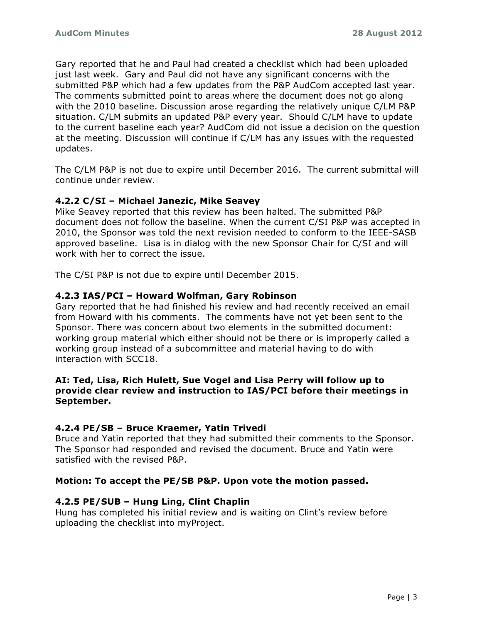Gary reported that he and Paul had created a checklist which had been uploaded just last week. Gary and Paul did not have any significant concerns with the submitted P&P which had a few updates from the P&P AudCom accepted last year. The comments submitted point to areas where the document does not go along with the 2010 baseline. Discussion arose regarding the relatively unique C/LM P&P situation. C/LM submits an updated P&P every year. Should C/LM have to update to the current baseline each year? AudCom did not issue a decision on the question at the meeting. Discussion will continue if C/LM has any issues with the requested updates.

The C/LM P&P is not due to expire until December 2016. The current submittal will continue under review.

#### **4.2.2 C/SI – Michael Janezic, Mike Seavey**

Mike Seavey reported that this review has been halted. The submitted P&P document does not follow the baseline. When the current C/SI P&P was accepted in 2010, the Sponsor was told the next revision needed to conform to the IEEE-SASB approved baseline. Lisa is in dialog with the new Sponsor Chair for C/SI and will work with her to correct the issue.

The C/SI P&P is not due to expire until December 2015.

#### **4.2.3 IAS/PCI – Howard Wolfman, Gary Robinson**

Gary reported that he had finished his review and had recently received an email from Howard with his comments. The comments have not yet been sent to the Sponsor. There was concern about two elements in the submitted document: working group material which either should not be there or is improperly called a working group instead of a subcommittee and material having to do with interaction with SCC18.

#### **AI: Ted, Lisa, Rich Hulett, Sue Vogel and Lisa Perry will follow up to provide clear review and instruction to IAS/PCI before their meetings in September.**

# **4.2.4 PE/SB – Bruce Kraemer, Yatin Trivedi**

Bruce and Yatin reported that they had submitted their comments to the Sponsor. The Sponsor had responded and revised the document. Bruce and Yatin were satisfied with the revised P&P.

#### **Motion: To accept the PE/SB P&P. Upon vote the motion passed.**

#### **4.2.5 PE/SUB – Hung Ling, Clint Chaplin**

Hung has completed his initial review and is waiting on Clint's review before uploading the checklist into myProject.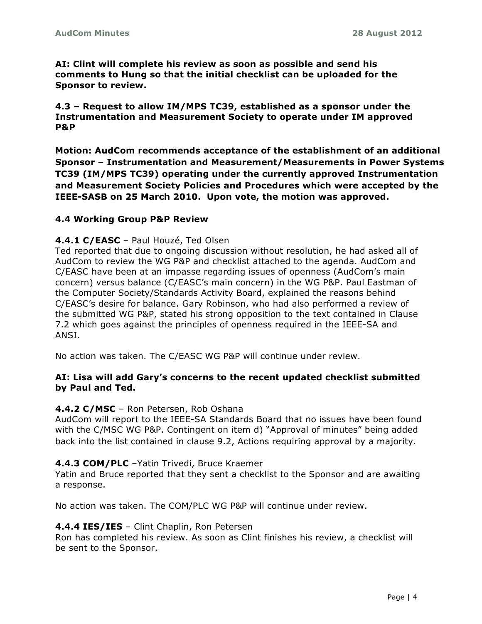**AI: Clint will complete his review as soon as possible and send his comments to Hung so that the initial checklist can be uploaded for the Sponsor to review.**

**4.3 – Request to allow IM/MPS TC39, established as a sponsor under the Instrumentation and Measurement Society to operate under IM approved P&P**

**Motion: AudCom recommends acceptance of the establishment of an additional Sponsor – Instrumentation and Measurement/Measurements in Power Systems TC39 (IM/MPS TC39) operating under the currently approved Instrumentation and Measurement Society Policies and Procedures which were accepted by the IEEE-SASB on 25 March 2010. Upon vote, the motion was approved.**

#### **4.4 Working Group P&P Review**

#### **4.4.1 C/EASC** – Paul Houzé, Ted Olsen

Ted reported that due to ongoing discussion without resolution, he had asked all of AudCom to review the WG P&P and checklist attached to the agenda. AudCom and C/EASC have been at an impasse regarding issues of openness (AudCom's main concern) versus balance (C/EASC's main concern) in the WG P&P. Paul Eastman of the Computer Society/Standards Activity Board, explained the reasons behind C/EASC's desire for balance. Gary Robinson, who had also performed a review of the submitted WG P&P, stated his strong opposition to the text contained in Clause 7.2 which goes against the principles of openness required in the IEEE-SA and ANSI.

No action was taken. The C/EASC WG P&P will continue under review.

#### **AI: Lisa will add Gary's concerns to the recent updated checklist submitted by Paul and Ted.**

#### **4.4.2 C/MSC** – Ron Petersen, Rob Oshana

AudCom will report to the IEEE-SA Standards Board that no issues have been found with the C/MSC WG P&P. Contingent on item d) "Approval of minutes" being added back into the list contained in clause 9.2, Actions requiring approval by a majority.

#### **4.4.3 COM/PLC** –Yatin Trivedi, Bruce Kraemer

Yatin and Bruce reported that they sent a checklist to the Sponsor and are awaiting a response.

No action was taken. The COM/PLC WG P&P will continue under review.

#### **4.4.4 IES/IES** – Clint Chaplin, Ron Petersen

Ron has completed his review. As soon as Clint finishes his review, a checklist will be sent to the Sponsor.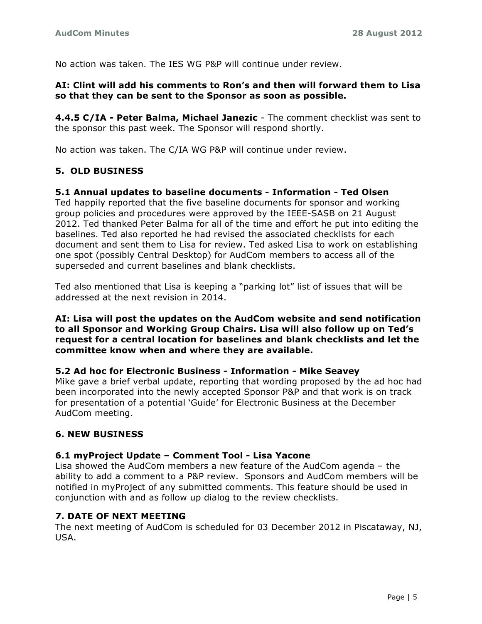No action was taken. The IES WG P&P will continue under review.

#### **AI: Clint will add his comments to Ron's and then will forward them to Lisa so that they can be sent to the Sponsor as soon as possible.**

**4.4.5 C/IA - Peter Balma, Michael Janezic** - The comment checklist was sent to the sponsor this past week. The Sponsor will respond shortly.

No action was taken. The C/IA WG P&P will continue under review.

# **5. OLD BUSINESS**

#### **5.1 Annual updates to baseline documents - Information - Ted Olsen**

Ted happily reported that the five baseline documents for sponsor and working group policies and procedures were approved by the IEEE-SASB on 21 August 2012. Ted thanked Peter Balma for all of the time and effort he put into editing the baselines. Ted also reported he had revised the associated checklists for each document and sent them to Lisa for review. Ted asked Lisa to work on establishing one spot (possibly Central Desktop) for AudCom members to access all of the superseded and current baselines and blank checklists.

Ted also mentioned that Lisa is keeping a "parking lot" list of issues that will be addressed at the next revision in 2014.

#### **AI: Lisa will post the updates on the AudCom website and send notification to all Sponsor and Working Group Chairs. Lisa will also follow up on Ted's request for a central location for baselines and blank checklists and let the committee know when and where they are available.**

#### **5.2 Ad hoc for Electronic Business - Information - Mike Seavey**

Mike gave a brief verbal update, reporting that wording proposed by the ad hoc had been incorporated into the newly accepted Sponsor P&P and that work is on track for presentation of a potential 'Guide' for Electronic Business at the December AudCom meeting.

# **6. NEW BUSINESS**

#### **6.1 myProject Update – Comment Tool - Lisa Yacone**

Lisa showed the AudCom members a new feature of the AudCom agenda – the ability to add a comment to a P&P review. Sponsors and AudCom members will be notified in myProject of any submitted comments. This feature should be used in conjunction with and as follow up dialog to the review checklists.

#### **7. DATE OF NEXT MEETING**

The next meeting of AudCom is scheduled for 03 December 2012 in Piscataway, NJ, USA.